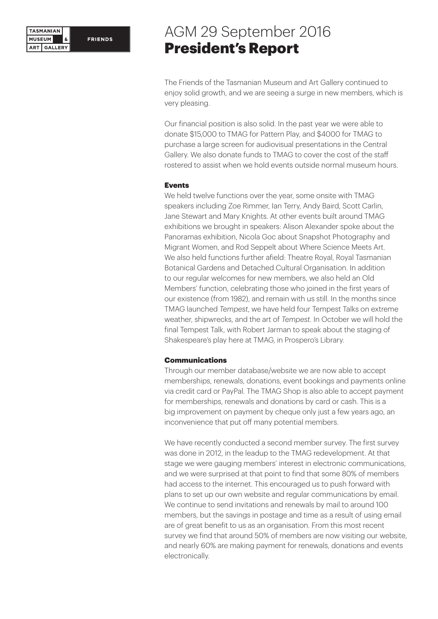# AGM 29 September 2016 President's Report

The Friends of the Tasmanian Museum and Art Gallery continued to enjoy solid growth, and we are seeing a surge in new members, which is very pleasing.

Our financial position is also solid. In the past year we were able to donate \$15,000 to TMAG for Pattern Play, and \$4000 for TMAG to purchase a large screen for audiovisual presentations in the Central Gallery. We also donate funds to TMAG to cover the cost of the staff rostered to assist when we hold events outside normal museum hours.

#### Events

We held twelve functions over the year, some onsite with TMAG speakers including Zoe Rimmer, Ian Terry, Andy Baird, Scott Carlin, Jane Stewart and Mary Knights. At other events built around TMAG exhibitions we brought in speakers: Alison Alexander spoke about the Panoramas exhibition, Nicola Goc about Snapshot Photography and Migrant Women, and Rod Seppelt about Where Science Meets Art. We also held functions further afield: Theatre Royal, Royal Tasmanian Botanical Gardens and Detached Cultural Organisation. In addition to our regular welcomes for new members, we also held an Old Members' function, celebrating those who joined in the first years of our existence (from 1982), and remain with us still. In the months since TMAG launched *Tempest*, we have held four Tempest Talks on extreme weather, shipwrecks, and the art of *Tempest*. In October we will hold the final Tempest Talk, with Robert Jarman to speak about the staging of Shakespeare's play here at TMAG, in Prospero's Library.

## Communications

Through our member database/website we are now able to accept memberships, renewals, donations, event bookings and payments online via credit card or PayPal. The TMAG Shop is also able to accept payment for memberships, renewals and donations by card or cash. This is a big improvement on payment by cheque only just a few years ago, an inconvenience that put off many potential members.

We have recently conducted a second member survey. The first survey was done in 2012, in the leadup to the TMAG redevelopment. At that stage we were gauging members' interest in electronic communications, and we were surprised at that point to find that some 80% of members had access to the internet. This encouraged us to push forward with plans to set up our own website and regular communications by email. We continue to send invitations and renewals by mail to around 100 members, but the savings in postage and time as a result of using email are of great benefit to us as an organisation. From this most recent survey we find that around 50% of members are now visiting our website, and nearly 60% are making payment for renewals, donations and events electronically.